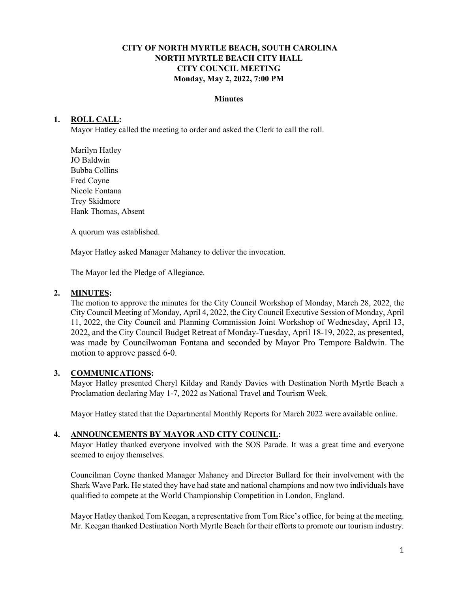# **CITY OF NORTH MYRTLE BEACH, SOUTH CAROLINA NORTH MYRTLE BEACH CITY HALL CITY COUNCIL MEETING Monday, May 2, 2022, 7:00 PM**

#### **Minutes**

## **1. ROLL CALL:**

Mayor Hatley called the meeting to order and asked the Clerk to call the roll.

Marilyn Hatley JO Baldwin Bubba Collins Fred Coyne Nicole Fontana Trey Skidmore Hank Thomas, Absent

A quorum was established.

Mayor Hatley asked Manager Mahaney to deliver the invocation.

The Mayor led the Pledge of Allegiance.

#### **2. MINUTES:**

The motion to approve the minutes for the City Council Workshop of Monday, March 28, 2022, the City Council Meeting of Monday, April 4, 2022, the City Council Executive Session of Monday, April 11, 2022, the City Council and Planning Commission Joint Workshop of Wednesday, April 13, 2022, and the City Council Budget Retreat of Monday-Tuesday, April 18-19, 2022, as presented, was made by Councilwoman Fontana and seconded by Mayor Pro Tempore Baldwin. The motion to approve passed 6-0.

### **3. COMMUNICATIONS:**

Mayor Hatley presented Cheryl Kilday and Randy Davies with Destination North Myrtle Beach a Proclamation declaring May 1-7, 2022 as National Travel and Tourism Week.

Mayor Hatley stated that the Departmental Monthly Reports for March 2022 were available online.

### **4. ANNOUNCEMENTS BY MAYOR AND CITY COUNCIL:**

Mayor Hatley thanked everyone involved with the SOS Parade. It was a great time and everyone seemed to enjoy themselves.

Councilman Coyne thanked Manager Mahaney and Director Bullard for their involvement with the Shark Wave Park. He stated they have had state and national champions and now two individuals have qualified to compete at the World Championship Competition in London, England.

Mayor Hatley thanked Tom Keegan, a representative from Tom Rice's office, for being at the meeting. Mr. Keegan thanked Destination North Myrtle Beach for their efforts to promote our tourism industry.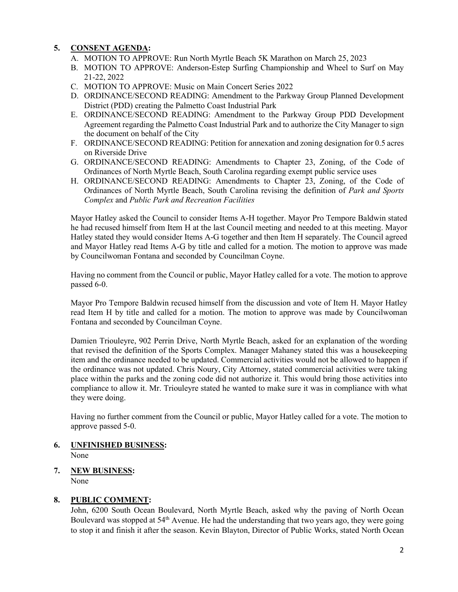# **5. CONSENT AGENDA:**

- A. MOTION TO APPROVE: Run North Myrtle Beach 5K Marathon on March 25, 2023
- B. MOTION TO APPROVE: Anderson-Estep Surfing Championship and Wheel to Surf on May 21-22, 2022
- C. MOTION TO APPROVE: Music on Main Concert Series 2022
- D. ORDINANCE/SECOND READING: Amendment to the Parkway Group Planned Development District (PDD) creating the Palmetto Coast Industrial Park
- E. ORDINANCE/SECOND READING: Amendment to the Parkway Group PDD Development Agreement regarding the Palmetto Coast Industrial Park and to authorize the City Manager to sign the document on behalf of the City
- F. ORDINANCE/SECOND READING: Petition for annexation and zoning designation for 0.5 acres on Riverside Drive
- G. ORDINANCE/SECOND READING: Amendments to Chapter 23, Zoning, of the Code of Ordinances of North Myrtle Beach, South Carolina regarding exempt public service uses
- H. ORDINANCE/SECOND READING: Amendments to Chapter 23, Zoning, of the Code of Ordinances of North Myrtle Beach, South Carolina revising the definition of *Park and Sports Complex* and *Public Park and Recreation Facilities*

Mayor Hatley asked the Council to consider Items A-H together. Mayor Pro Tempore Baldwin stated he had recused himself from Item H at the last Council meeting and needed to at this meeting. Mayor Hatley stated they would consider Items A-G together and then Item H separately. The Council agreed and Mayor Hatley read Items A-G by title and called for a motion. The motion to approve was made by Councilwoman Fontana and seconded by Councilman Coyne.

Having no comment from the Council or public, Mayor Hatley called for a vote. The motion to approve passed 6-0.

Mayor Pro Tempore Baldwin recused himself from the discussion and vote of Item H. Mayor Hatley read Item H by title and called for a motion. The motion to approve was made by Councilwoman Fontana and seconded by Councilman Coyne.

Damien Triouleyre, 902 Perrin Drive, North Myrtle Beach, asked for an explanation of the wording that revised the definition of the Sports Complex. Manager Mahaney stated this was a housekeeping item and the ordinance needed to be updated. Commercial activities would not be allowed to happen if the ordinance was not updated. Chris Noury, City Attorney, stated commercial activities were taking place within the parks and the zoning code did not authorize it. This would bring those activities into compliance to allow it. Mr. Triouleyre stated he wanted to make sure it was in compliance with what they were doing.

Having no further comment from the Council or public, Mayor Hatley called for a vote. The motion to approve passed 5-0.

- **6. UNFINISHED BUSINESS:**  None
- **7. NEW BUSINESS:**  None

# **8. PUBLIC COMMENT:**

John, 6200 South Ocean Boulevard, North Myrtle Beach, asked why the paving of North Ocean Boulevard was stopped at  $54<sup>th</sup>$  Avenue. He had the understanding that two years ago, they were going to stop it and finish it after the season. Kevin Blayton, Director of Public Works, stated North Ocean